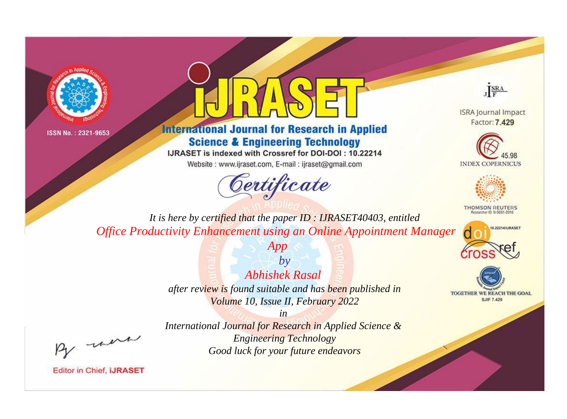



# **International Journal for Research in Applied Science & Engineering Technology**

IJRASET is indexed with Crossref for DOI-DOI: 10.22214

Website: www.ijraset.com, E-mail: ijraset@gmail.com



JERA

**ISRA Journal Impact** Factor: 7.429





**THOMSON REUTERS** 



TOGETHER WE REACH THE GOAL **SJIF 7.429** 

It is here by certified that the paper ID: IJRASET40403, entitled Office Productivity Enhancement using an Online Appointment Manager

App

 $by$ Abhishek Rasal after review is found suitable and has been published in Volume 10, Issue II, February 2022

-were

International Journal for Research in Applied Science & **Engineering Technology** Good luck for your future endeavors

 $in$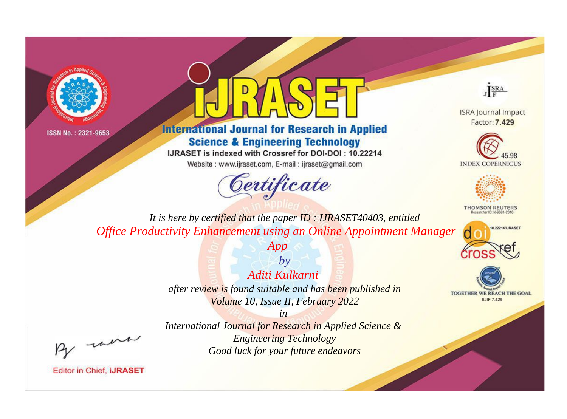



# **International Journal for Research in Applied Science & Engineering Technology**

IJRASET is indexed with Crossref for DOI-DOI: 10.22214

Website: www.ijraset.com, E-mail: ijraset@gmail.com



JERA

**ISRA Journal Impact** Factor: 7.429





**THOMSON REUTERS** 



TOGETHER WE REACH THE GOAL **SJIF 7.429** 

It is here by certified that the paper ID: IJRASET40403, entitled Office Productivity Enhancement using an Online Appointment Manager

App

 $by$ Aditi Kulkarni after review is found suitable and has been published in Volume 10, Issue II, February 2022

. were

International Journal for Research in Applied Science & **Engineering Technology** Good luck for your future endeavors

 $in$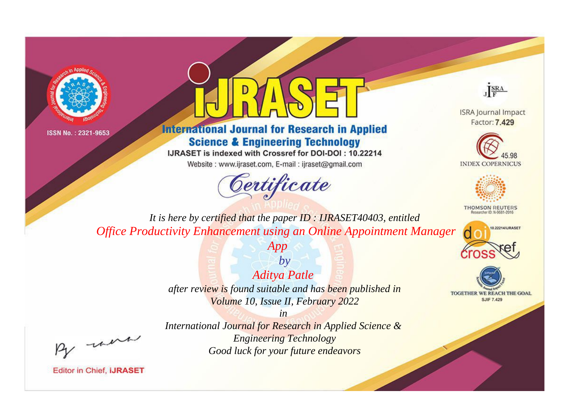



# **International Journal for Research in Applied Science & Engineering Technology**

IJRASET is indexed with Crossref for DOI-DOI: 10.22214

Website: www.ijraset.com, E-mail: ijraset@gmail.com



JERA

**ISRA Journal Impact** Factor: 7.429





**THOMSON REUTERS** 



TOGETHER WE REACH THE GOAL **SJIF 7.429** 

It is here by certified that the paper ID: IJRASET40403, entitled Office Productivity Enhancement using an Online Appointment Manager

App

 $by$ **Aditya Patle** after review is found suitable and has been published in Volume 10, Issue II, February 2022

were

International Journal for Research in Applied Science & **Engineering Technology** Good luck for your future endeavors

 $in$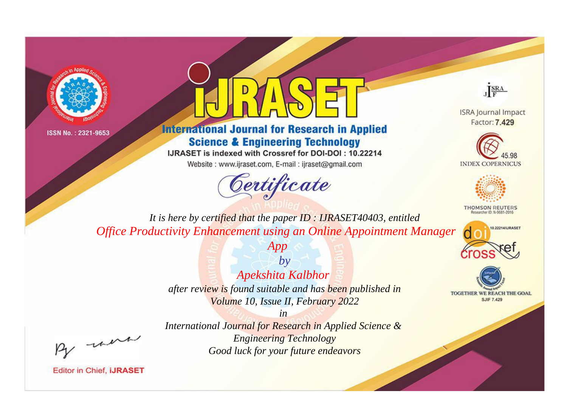



# **International Journal for Research in Applied Science & Engineering Technology**

IJRASET is indexed with Crossref for DOI-DOI: 10.22214

Website: www.ijraset.com, E-mail: ijraset@gmail.com



JERA

**ISRA Journal Impact** Factor: 7.429





**THOMSON REUTERS** 



TOGETHER WE REACH THE GOAL **SJIF 7.429** 

It is here by certified that the paper ID: IJRASET40403, entitled Office Productivity Enhancement using an Online Appointment Manager

App

 $by$ Apekshita Kalbhor after review is found suitable and has been published in Volume 10, Issue II, February 2022

. were

International Journal for Research in Applied Science & **Engineering Technology** Good luck for your future endeavors

 $in$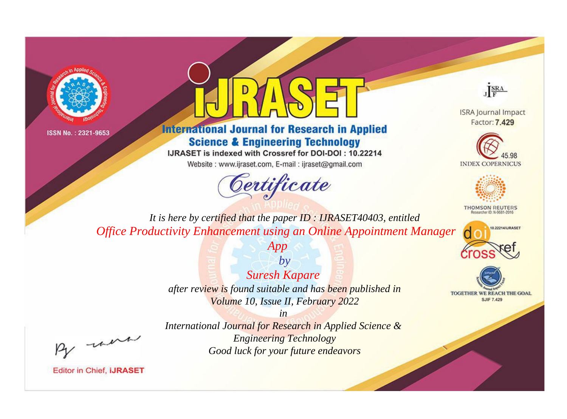



# **International Journal for Research in Applied Science & Engineering Technology**

IJRASET is indexed with Crossref for DOI-DOI: 10.22214

Website: www.ijraset.com, E-mail: ijraset@gmail.com



JERA

**ISRA Journal Impact** Factor: 7.429





**THOMSON REUTERS** 



TOGETHER WE REACH THE GOAL **SJIF 7.429** 

It is here by certified that the paper ID: IJRASET40403, entitled Office Productivity Enhancement using an Online Appointment Manager

App

 $by$ **Suresh Kapare** after review is found suitable and has been published in Volume 10, Issue II, February 2022

 $in$ International Journal for Research in Applied Science & **Engineering Technology** Good luck for your future endeavors

were